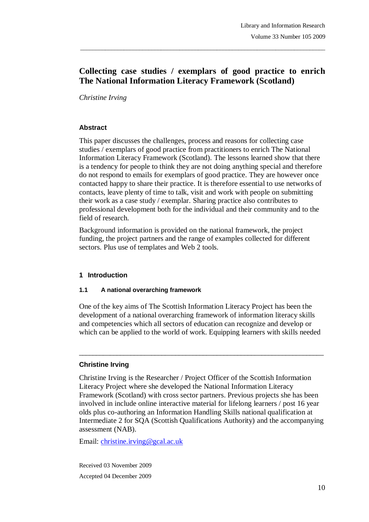# **Collecting case studies / exemplars of good practice to enrich The National Information Literacy Framework (Scotland)**

\_\_\_\_\_\_\_\_\_\_\_\_\_\_\_\_\_\_\_\_\_\_\_\_\_\_\_\_\_\_\_\_\_\_\_\_\_\_\_\_\_\_\_\_\_\_\_\_\_\_\_\_\_\_\_\_\_\_\_\_\_\_\_\_\_\_\_\_\_\_\_\_\_\_\_\_\_\_\_

*Christine Irving*

#### **Abstract**

This paper discusses the challenges, process and reasons for collecting case studies / exemplars of good practice from practitioners to enrich The National Information Literacy Framework (Scotland). The lessons learned show that there is a tendency for people to think they are not doing anything special and therefore do not respond to emails for exemplars of good practice. They are however once contacted happy to share their practice. It is therefore essential to use networks of contacts, leave plenty of time to talk, visit and work with people on submitting their work as a case study / exemplar. Sharing practice also contributes to professional development both for the individual and their community and to the field of research.

Background information is provided on the national framework, the project funding, the project partners and the range of examples collected for different sectors. Plus use of templates and Web 2 tools.

#### **1 Introduction**

#### **1.1 A national overarching framework**

One of the key aims of The Scottish Information Literacy Project has been the development of a national overarching framework of information literacy skills and competencies which all sectors of education can recognize and develop or which can be applied to the world of work. Equipping learners with skills needed

\_\_\_\_\_\_\_\_\_\_\_\_\_\_\_\_\_\_\_\_\_\_\_\_\_\_\_\_\_\_\_\_\_\_\_\_\_\_\_\_\_\_\_\_\_\_\_\_\_\_\_\_\_\_\_\_\_\_\_\_\_\_\_\_\_\_\_\_\_\_\_

### **Christine Irving**

Christine Irving is the Researcher / Project Officer of the Scottish Information Literacy Project where she developed the National Information Literacy Framework (Scotland) with cross sector partners. Previous projects she has been involved in include online interactive material for lifelong learners / post 16 year olds plus co-authoring an Information Handling Skills national qualification at Intermediate 2 for SQA (Scottish Qualifications Authority) and the accompanying assessment (NAB).

Email: christine.irving@gcal.ac.uk

Received 03 November 2009 Accepted 04 December 2009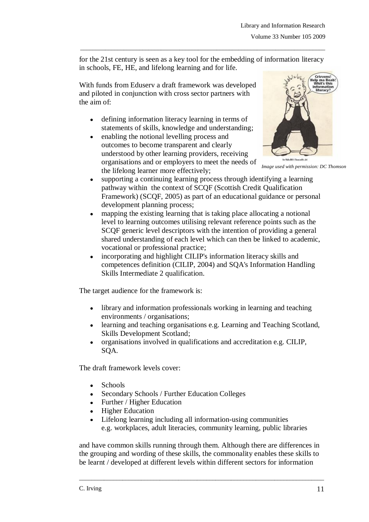for the 21st century is seen as a key tool for the embedding of information literacy in schools, FE, HE, and lifelong learning and for life.

\_\_\_\_\_\_\_\_\_\_\_\_\_\_\_\_\_\_\_\_\_\_\_\_\_\_\_\_\_\_\_\_\_\_\_\_\_\_\_\_\_\_\_\_\_\_\_\_\_\_\_\_\_\_\_\_\_\_\_\_\_\_\_\_\_\_\_\_\_\_\_\_\_\_\_\_\_\_\_

With funds from Eduserv a draft framework was developed and piloted in conjunction with cross sector partners with the aim of:

- defining information literacy learning in terms of statements of skills, knowledge and understanding;
- enabling the notional levelling process and  $\bullet$ outcomes to become transparent and clearly understood by other learning providers, receiving organisations and or employers to meet the needs of the lifelong learner more effectively;



*Image used with permission: DC Thomson*

- $\bullet$ supporting a continuing learning process through identifying a learning pathway within the context of SCQF (Scottish Credit Qualification Framework) (SCQF, 2005) as part of an educational guidance or personal development planning process;
- mapping the existing learning that is taking place allocating a notional level to learning outcomes utilising relevant reference points such as the SCQF generic level descriptors with the intention of providing a general shared understanding of each level which can then be linked to academic, vocational or professional practice;
- incorporating and highlight CILIP's information literacy skills and competences definition (CILIP, 2004) and SQA's Information Handling Skills Intermediate 2 qualification.

The target audience for the framework is:

- library and information professionals working in learning and teaching environments / organisations;
- learning and teaching organisations e.g. Learning and Teaching Scotland, Skills Development Scotland;
- $\bullet$ organisations involved in qualifications and accreditation e.g. CILIP, SQA.

The draft framework levels cover:

- Schools
- Secondary Schools / Further Education Colleges  $\bullet$
- Further / Higher Education
- Higher Education
- Lifelong learning including all information-using communities  $\bullet$ e.g. workplaces, adult literacies, community learning, public libraries

and have common skills running through them. Although there are differences in the grouping and wording of these skills, the commonality enables these skills to be learnt / developed at different levels within different sectors for information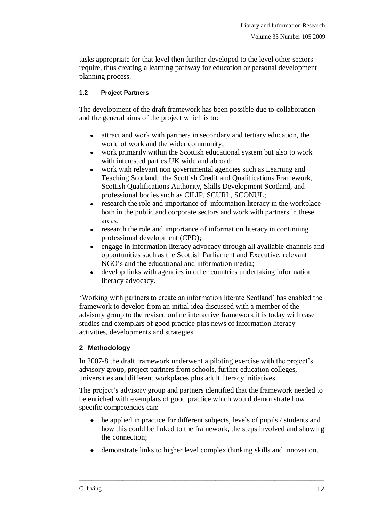tasks appropriate for that level then further developed to the level other sectors require, thus creating a learning pathway for education or personal development planning process.

\_\_\_\_\_\_\_\_\_\_\_\_\_\_\_\_\_\_\_\_\_\_\_\_\_\_\_\_\_\_\_\_\_\_\_\_\_\_\_\_\_\_\_\_\_\_\_\_\_\_\_\_\_\_\_\_\_\_\_\_\_\_\_\_\_\_\_\_\_\_\_\_\_\_\_\_\_\_\_

## **1.2 Project Partners**

The development of the draft framework has been possible due to collaboration and the general aims of the project which is to:

- attract and work with partners in secondary and tertiary education, the world of work and the wider community;
- work primarily within the Scottish educational system but also to work with interested parties UK wide and abroad:
- work with relevant non governmental agencies such as Learning and  $\bullet$ Teaching Scotland, the Scottish Credit and Qualifications Framework, Scottish Qualifications Authority, Skills Development Scotland, and professional bodies such as CILIP, SCURL, SCONUL;
- research the role and importance of information literacy in the workplace  $\bullet$ both in the public and corporate sectors and work with partners in these areas;
- research the role and importance of information literacy in continuing professional development (CPD);
- engage in information literacy advocacy through all available channels and opportunities such as the Scottish Parliament and Executive, relevant NGO"s and the educational and information media;
- develop links with agencies in other countries undertaking information  $\bullet$ literacy advocacy.

"Working with partners to create an information literate Scotland" has enabled the framework to develop from an initial idea discussed with a member of the advisory group to the revised online interactive framework it is today with case studies and exemplars of good practice plus news of information literacy activities, developments and strategies.

# **2 Methodology**

In 2007-8 the draft framework underwent a piloting exercise with the project's advisory group, project partners from schools, further education colleges, universities and different workplaces plus adult literacy initiatives.

The project's advisory group and partners identified that the framework needed to be enriched with exemplars of good practice which would demonstrate how specific competencies can:

- be applied in practice for different subjects, levels of pupils / students and  $\bullet$ how this could be linked to the framework, the steps involved and showing the connection;
- demonstrate links to higher level complex thinking skills and innovation.  $\bullet$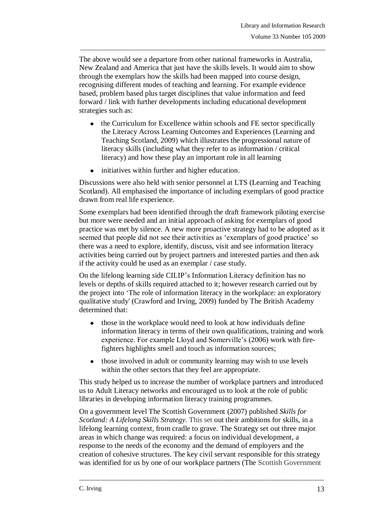The above would see a departure from other national frameworks in Australia, New Zealand and America that just have the skills levels. It would aim to show through the exemplars how the skills had been mapped into course design, recognising different modes of teaching and learning. For example evidence based, problem based plus target disciplines that value information and feed forward / link with further developments including educational development strategies such as:

\_\_\_\_\_\_\_\_\_\_\_\_\_\_\_\_\_\_\_\_\_\_\_\_\_\_\_\_\_\_\_\_\_\_\_\_\_\_\_\_\_\_\_\_\_\_\_\_\_\_\_\_\_\_\_\_\_\_\_\_\_\_\_\_\_\_\_\_\_\_\_\_\_\_\_\_\_\_\_

- $\bullet$ the Curriculum for Excellence within schools and FE sector specifically the Literacy Across Learning Outcomes and Experiences (Learning and Teaching Scotland, 2009) which illustrates the progressional nature of literacy skills (including what they refer to as information / critical literacy) and how these play an important role in all learning
- initiatives within further and higher education.  $\bullet$

Discussions were also held with senior personnel at LTS (Learning and Teaching Scotland). All emphasised the importance of including exemplars of good practice drawn from real life experience.

Some exemplars had been identified through the draft framework piloting exercise but more were needed and an initial approach of asking for exemplars of good practice was met by silence. A new more proactive strategy had to be adopted as it seemed that people did not see their activities as 'exemplars of good practice' so there was a need to explore, identify, discuss, visit and see information literacy activities being carried out by project partners and interested parties and then ask if the activity could be used as an exemplar / case study.

On the lifelong learning side CILIP"s Information Literacy definition has no levels or depths of skills required attached to it; however research carried out by the project into "The role of information literacy in the workplace: an exploratory qualitative study' (Crawford and Irving, 2009) funded by The British Academy determined that:

- those in the workplace would need to look at how individuals define  $\bullet$ information literacy in terms of their own qualifications, training and work experience. For example Lloyd and Somerville's (2006) work with firefighters highlights smell and touch as information sources;
- those involved in adult or community learning may wish to use levels  $\bullet$ within the other sectors that they feel are appropriate.

This study helped us to increase the number of workplace partners and introduced us to Adult Literacy networks and encouraged us to look at the role of public libraries in developing information literacy training programmes.

On a government level The Scottish Government (2007) published *Skills for Scotland: A Lifelong Skills Strategy*. This set out their ambitions for skills, in a lifelong learning context, from cradle to grave. The Strategy set out three major areas in which change was required: a focus on individual development, a response to the needs of the economy and the demand of employers and the creation of cohesive structures. The key civil servant responsible for this strategy was identified for us by one of our workplace partners (The Scottish Government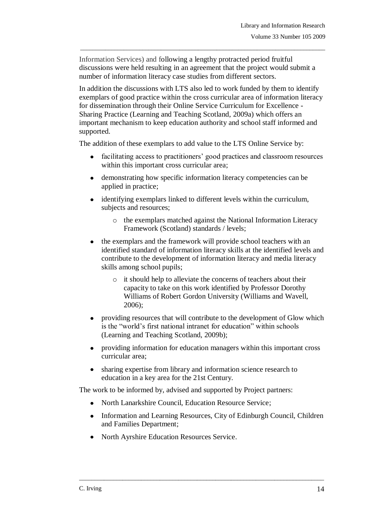Information Services) and following a lengthy protracted period fruitful discussions were held resulting in an agreement that the project would submit a number of information literacy case studies from different sectors.

\_\_\_\_\_\_\_\_\_\_\_\_\_\_\_\_\_\_\_\_\_\_\_\_\_\_\_\_\_\_\_\_\_\_\_\_\_\_\_\_\_\_\_\_\_\_\_\_\_\_\_\_\_\_\_\_\_\_\_\_\_\_\_\_\_\_\_\_\_\_\_\_\_\_\_\_\_\_\_

In addition the discussions with LTS also led to work funded by them to identify exemplars of good practice within the cross curricular area of information literacy for dissemination through their Online Service Curriculum for Excellence - Sharing Practice (Learning and Teaching Scotland, 2009a) which offers an important mechanism to keep education authority and school staff informed and supported.

The addition of these exemplars to add value to the LTS Online Service by:

- facilitating access to practitioners' good practices and classroom resources  $\bullet$ within this important cross curricular area;
- demonstrating how specific information literacy competencies can be  $\bullet$ applied in practice;
- $\bullet$ identifying exemplars linked to different levels within the curriculum, subjects and resources;
	- o the exemplars matched against the National Information Literacy Framework (Scotland) standards / levels;
- the exemplars and the framework will provide school teachers with an identified standard of information literacy skills at the identified levels and contribute to the development of information literacy and media literacy skills among school pupils;
	- o it should help to alleviate the concerns of teachers about their capacity to take on this work identified by Professor Dorothy Williams of Robert Gordon University (Williams and Wavell, 2006);
- providing resources that will contribute to the development of Glow which is the "world"s first national intranet for education" within schools (Learning and Teaching Scotland, 2009b);
- providing information for education managers within this important cross curricular area;
- sharing expertise from library and information science research to education in a key area for the 21st Century.

The work to be informed by, advised and supported by Project partners:

- North Lanarkshire Council, Education Resource Service;
- Information and Learning Resources, City of Edinburgh Council, Children and Families Department;

\_\_\_\_\_\_\_\_\_\_\_\_\_\_\_\_\_\_\_\_\_\_\_\_\_\_\_\_\_\_\_\_\_\_\_\_\_\_\_\_\_\_\_\_\_\_\_\_\_\_\_\_\_\_\_\_\_\_\_\_\_\_\_\_\_\_\_\_\_\_\_\_\_\_\_\_\_\_\_

North Ayrshire Education Resources Service. $\bullet$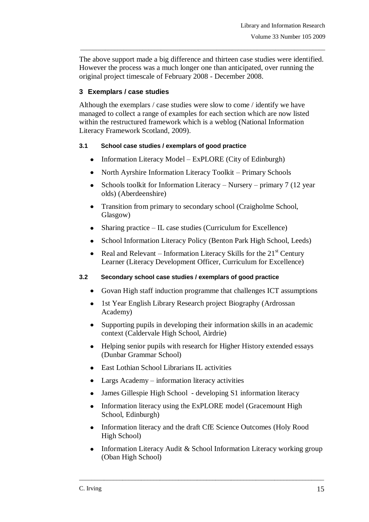The above support made a big difference and thirteen case studies were identified. However the process was a much longer one than anticipated, over running the original project timescale of February 2008 - December 2008.

\_\_\_\_\_\_\_\_\_\_\_\_\_\_\_\_\_\_\_\_\_\_\_\_\_\_\_\_\_\_\_\_\_\_\_\_\_\_\_\_\_\_\_\_\_\_\_\_\_\_\_\_\_\_\_\_\_\_\_\_\_\_\_\_\_\_\_\_\_\_\_\_\_\_\_\_\_\_\_

## **3 Exemplars / case studies**

Although the exemplars / case studies were slow to come / identify we have managed to collect a range of examples for each section which are now listed within the restructured framework which is a weblog (National Information Literacy Framework Scotland, 2009).

### **3.1 School case studies / exemplars of good practice**

- Information Literacy Model ExPLORE (City of Edinburgh)
- North Ayrshire Information Literacy Toolkit Primary Schools  $\bullet$
- Schools toolkit for Information Literacy Nursery primary 7 (12 year  $\bullet$ olds) (Aberdeenshire)
- Transition from primary to secondary school (Craigholme School, Glasgow)
- Sharing practice IL case studies (Curriculum for Excellence)
- School Information Literacy Policy (Benton Park High School, Leeds)  $\bullet$
- Real and Relevant Information Literacy Skills for the  $21<sup>st</sup>$  Century  $\bullet$ Learner (Literacy Development Officer, Curriculum for Excellence)

## **3.2 Secondary school case studies / exemplars of good practice**

- Govan High staff induction programme that challenges ICT assumptions  $\bullet$
- 1st Year English Library Research project Biography (Ardrossan Academy)
- Supporting pupils in developing their information skills in an academic context (Caldervale High School, Airdrie)
- Helping senior pupils with research for Higher History extended essays (Dunbar Grammar School)
- East Lothian School Librarians IL activities
- Largs Academy information literacy activities
- James Gillespie High School developing S1 information literacy  $\bullet$
- Information literacy using the ExPLORE model (Gracemount High  $\bullet$ School, Edinburgh)
- Information literacy and the draft CfE Science Outcomes (Holy Rood High School)

\_\_\_\_\_\_\_\_\_\_\_\_\_\_\_\_\_\_\_\_\_\_\_\_\_\_\_\_\_\_\_\_\_\_\_\_\_\_\_\_\_\_\_\_\_\_\_\_\_\_\_\_\_\_\_\_\_\_\_\_\_\_\_\_\_\_\_\_\_\_\_\_\_\_\_\_\_\_\_

Information Literacy Audit & School Information Literacy working group  $\bullet$ (Oban High School)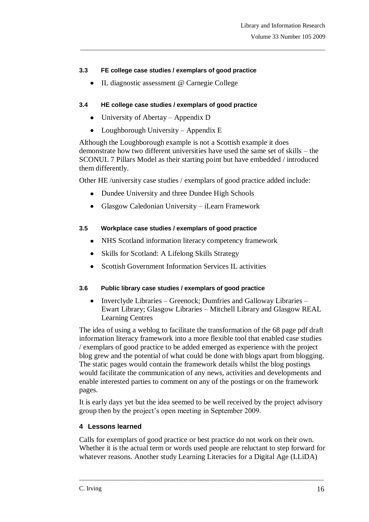#### **3.3 FE college case studies / exemplars of good practice**

IL diagnostic assessment @ Carnegie College  $\bullet$ 

#### **3.4 HE college case studies / exemplars of good practice**

- University of Abertay Appendix D  $\bullet$
- Loughborough University Appendix E

Although the Loughborough example is not a Scottish example it does demonstrate how two different universities have used the same set of skills – the SCONUL 7 Pillars Model as their starting point but have embedded / introduced them differently.

\_\_\_\_\_\_\_\_\_\_\_\_\_\_\_\_\_\_\_\_\_\_\_\_\_\_\_\_\_\_\_\_\_\_\_\_\_\_\_\_\_\_\_\_\_\_\_\_\_\_\_\_\_\_\_\_\_\_\_\_\_\_\_\_\_\_\_\_\_\_\_\_\_\_\_\_\_\_\_

Other HE /university case studies / exemplars of good practice added include:

- $\bullet$ Dundee University and three Dundee High Schools
- $\bullet$ Glasgow Caledonian University – iLearn Framework

#### **3.5 Workplace case studies / exemplars of good practice**

- NHS Scotland information literacy competency framework
- Skills for Scotland: A Lifelong Skills Strategy
- Scottish Government Information Services IL activities  $\bullet$

### **3.6 Public library case studies / exemplars of good practice**

 $\bullet$ Inverclyde Libraries – Greenock; Dumfries and Galloway Libraries – Ewart Library; Glasgow Libraries – Mitchell Library and Glasgow REAL Learning Centres

The idea of using a weblog to facilitate the transformation of the 68 page pdf draft information literacy framework into a more flexible tool that enabled case studies / exemplars of good practice to be added emerged as experience with the project blog grew and the potential of what could be done with blogs apart from blogging. The static pages would contain the framework details whilst the blog postings would facilitate the communication of any news, activities and developments and enable interested parties to comment on any of the postings or on the framework pages.

It is early days yet but the idea seemed to be well received by the project advisory group then by the project"s open meeting in September 2009.

### **4 Lessons learned**

Calls for exemplars of good practice or best practice do not work on their own. Whether it is the actual term or words used people are reluctant to step forward for whatever reasons. Another study Learning Literacies for a Digital Age (LLiDA)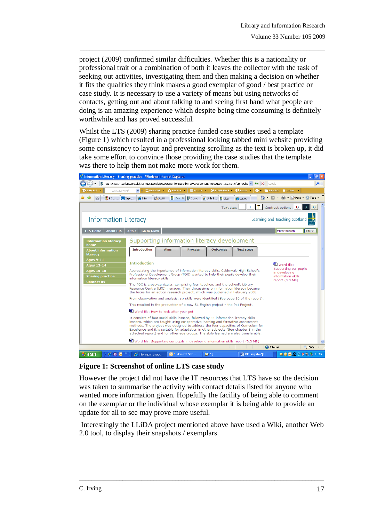project (2009) confirmed similar difficulties. Whether this is a nationality or professional trait or a combination of both it leaves the collector with the task of seeking out activities, investigating them and then making a decision on whether it fits the qualities they think makes a good exemplar of good / best practice or case study. It is necessary to use a variety of means but using networks of contacts, getting out and about talking to and seeing first hand what people are doing is an amazing experience which despite being time consuming is definitely worthwhile and has proved successful.

\_\_\_\_\_\_\_\_\_\_\_\_\_\_\_\_\_\_\_\_\_\_\_\_\_\_\_\_\_\_\_\_\_\_\_\_\_\_\_\_\_\_\_\_\_\_\_\_\_\_\_\_\_\_\_\_\_\_\_\_\_\_\_\_\_\_\_\_\_\_\_\_\_\_\_\_\_\_\_

Whilst the LTS (2009) sharing practice funded case studies used a template (Figure 1) which resulted in a professional looking tabbed mini website providing some consistency to layout and preventing scrolling as the text is broken up, it did take some effort to convince those providing the case studies that the template was there to help them not make more work for them.

| FГ<br>$C$ Information Literacy - Sharing practice - Windows Internet Explorer                                                                                                                                                                                                                                                                                                                                                                 |                                                                                                                                                                                                                                                                                      |                                                          |                                                                   |  |
|-----------------------------------------------------------------------------------------------------------------------------------------------------------------------------------------------------------------------------------------------------------------------------------------------------------------------------------------------------------------------------------------------------------------------------------------------|--------------------------------------------------------------------------------------------------------------------------------------------------------------------------------------------------------------------------------------------------------------------------------------|----------------------------------------------------------|-------------------------------------------------------------------|--|
|                                                                                                                                                                                                                                                                                                                                                                                                                                               | bttp://www.ltscotland.org.uk/sharingpractice/c/supportinginformationliteracydevelopment/introduction.asp?strReferringChal                                                                                                                                                            | $\frac{1}{2}$ $\times$                                   | - م<br>Google                                                     |  |
| <b>EXPERIENCE</b><br>topic keyword                                                                                                                                                                                                                                                                                                                                                                                                            | $\equiv$ Focus $\sim$<br>$X$ EXPLORE $\rightarrow$ SEARCH $\rightarrow$                                                                                                                                                                                                              | O EXPERIENCE . C BUILD<br><b>OF C</b> RECORD             | <b>ALOGIN</b>                                                     |  |
| 4SP<br>$\overline{\phantom{a}}$                                                                                                                                                                                                                                                                                                                                                                                                               | $\mathbb{R}$ In $\times$<br>RGU:  C Impro C Infor C Scotti<br>$\mathbf{e}$ Curric $\mathbf{e}$ Skills f                                                                                                                                                                              | 合<br>$\blacktriangledown$<br>$\frac{1}{2}$ Glow<br>LLIDA | ■ · ☆ Page · ◎ Tools ·<br>$\boxtimes$                             |  |
| т<br>C<br>C<br>C.<br>т<br>Contrast options:<br>Text size:                                                                                                                                                                                                                                                                                                                                                                                     |                                                                                                                                                                                                                                                                                      |                                                          |                                                                   |  |
| <b>Information Literacy</b>                                                                                                                                                                                                                                                                                                                                                                                                                   |                                                                                                                                                                                                                                                                                      |                                                          | Learning and Teaching Scotland                                    |  |
| <b>About LTS</b><br><b>LTS Home</b>                                                                                                                                                                                                                                                                                                                                                                                                           | A to Z<br><b>Go to Glow</b>                                                                                                                                                                                                                                                          |                                                          | Enter search<br>Search                                            |  |
| <b>Information literacy</b><br>home                                                                                                                                                                                                                                                                                                                                                                                                           | Supporting information literacy development                                                                                                                                                                                                                                          |                                                          |                                                                   |  |
| <b>About information</b><br>literacy                                                                                                                                                                                                                                                                                                                                                                                                          | <b>Introduction</b><br><b>Aims</b><br><b>Process</b>                                                                                                                                                                                                                                 | <b>Outcomes</b><br><b>Next steps</b>                     |                                                                   |  |
| <b>Ages 9-11</b><br><b>Ages 12-14</b><br><b>Ages 15-18</b>                                                                                                                                                                                                                                                                                                                                                                                    | <b>Introduction</b><br>Appreciating the importance of information literacy skills, Caldervale High School's<br>Professional Development Group (PDG) wanted to help their pupils develop their                                                                                        |                                                          | <sup>图</sup> Word file:<br>Supporting our pupils<br>in developing |  |
| <b>Sharing practice</b><br><b>Contact us</b>                                                                                                                                                                                                                                                                                                                                                                                                  | information literacy skills.<br>The PDG is cross-curricular, comprising four teachers and the school's Library<br>Resource Centre (LRC) manager. Their discussions on information literacy became<br>the focus for an action research project, which was published in February 2008. |                                                          | information skills<br>report (3.3 MB)                             |  |
|                                                                                                                                                                                                                                                                                                                                                                                                                                               | From observation and analysis, six skills were identified (See page 10 of the report).                                                                                                                                                                                               |                                                          |                                                                   |  |
|                                                                                                                                                                                                                                                                                                                                                                                                                                               | This resulted in the production of a new S1 English project - the Pet Project.<br><sup>[6]</sup> Word file: How to look after your pet                                                                                                                                               |                                                          |                                                                   |  |
|                                                                                                                                                                                                                                                                                                                                                                                                                                               |                                                                                                                                                                                                                                                                                      |                                                          |                                                                   |  |
| It consists of four social skills lessons, followed by 11 information literacy skills<br>lessons, which are taught using co-operative learning and formative assessment<br>methods. The project was designed to address the four capacities of Curriculum for<br>Excellence and it is suitable for adaptation in other subjects (See chapter 8 in the<br>attached report) and for other age groups. The skills learned are also transferable. |                                                                                                                                                                                                                                                                                      |                                                          |                                                                   |  |
| Word file: Supporting our pupils in developing information skills report (3.3 MB)                                                                                                                                                                                                                                                                                                                                                             |                                                                                                                                                                                                                                                                                      |                                                          |                                                                   |  |
| <b>O</b> Internet<br>电 100%                                                                                                                                                                                                                                                                                                                                                                                                                   |                                                                                                                                                                                                                                                                                      |                                                          |                                                                   |  |
| 600<br><b>Li</b> start                                                                                                                                                                                                                                                                                                                                                                                                                        | 6 Information Literac <b>6</b> 3 Microsoft Offic<br>$-1$ <b>Direct</b>                                                                                                                                                                                                               | <b>Di</b> LIR template-Of 11.                            |                                                                   |  |

**Figure 1: Screenshot of online LTS case study** 

However the project did not have the IT resources that LTS have so the decision was taken to summarise the activity with contact details listed for anyone who wanted more information given. Hopefully the facility of being able to comment on the exemplar or the individual whose exemplar it is being able to provide an update for all to see may prove more useful.

Interestingly the LLiDA project mentioned above have used a Wiki, another Web 2.0 tool, to display their snapshots / exemplars.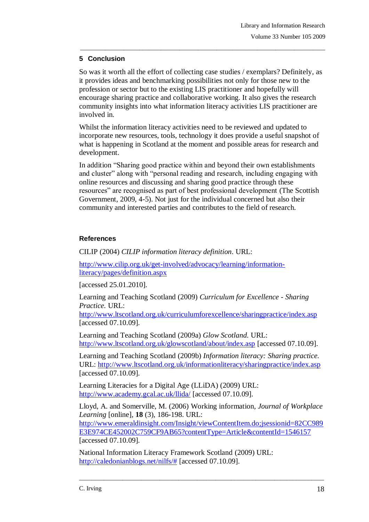### **5 Conclusion**

So was it worth all the effort of collecting case studies / exemplars? Definitely, as it provides ideas and benchmarking possibilities not only for those new to the profession or sector but to the existing LIS practitioner and hopefully will encourage sharing practice and collaborative working. It also gives the research community insights into what information literacy activities LIS practitioner are involved in.

\_\_\_\_\_\_\_\_\_\_\_\_\_\_\_\_\_\_\_\_\_\_\_\_\_\_\_\_\_\_\_\_\_\_\_\_\_\_\_\_\_\_\_\_\_\_\_\_\_\_\_\_\_\_\_\_\_\_\_\_\_\_\_\_\_\_\_\_\_\_\_\_\_\_\_\_\_\_\_

Whilst the information literacy activities need to be reviewed and updated to incorporate new resources, tools, technology it does provide a useful snapshot of what is happening in Scotland at the moment and possible areas for research and development.

In addition "Sharing good practice within and beyond their own establishments and cluster" along with "personal reading and research, including engaging with online resources and discussing and sharing good practice through these resources" are recognised as part of best professional development (The Scottish Government, 2009, 4-5). Not just for the individual concerned but also their community and interested parties and contributes to the field of research.

## **References**

CILIP (2004) *CILIP information literacy definition*. URL:

[http://www.cilip.org.uk/get-involved/advocacy/learning/information](http://www.cilip.org.uk/get-involved/advocacy/learning/information-literacy/pages/definition.aspx)[literacy/pages/definition.aspx](http://www.cilip.org.uk/get-involved/advocacy/learning/information-literacy/pages/definition.aspx)

[accessed 25.01.2010].

Learning and Teaching Scotland (2009) *Curriculum for Excellence - Sharing Practice.* URL:

<http://www.ltscotland.org.uk/curriculumforexcellence/sharingpractice/index.asp> [accessed 07.10.09].

Learning and Teaching Scotland (2009a) *Glow Scotland.* URL: <http://www.ltscotland.org.uk/glowscotland/about/index.asp> [accessed 07.10.09].

Learning and Teaching Scotland (2009b) *Information literacy: Sharing practice.* URL:<http://www.ltscotland.org.uk/informationliteracy/sharingpractice/index.asp> [accessed 07.10.09].

Learning Literacies for a Digital Age (LLiDA) (2009) URL: <http://www.academy.gcal.ac.uk/llida/> [accessed 07.10.09].

Lloyd, A. and Somerville, M. (2006) Working information*, [Journal of Workplace](http://www.emeraldinsight.com/Insight/viewContentItem.do;jsessionid=82CC989E3E974CE452002C759CF9AB65?contentType=Article&contentId=1546157)  [Learning](http://www.emeraldinsight.com/Insight/viewContentItem.do;jsessionid=82CC989E3E974CE452002C759CF9AB65?contentType=Article&contentId=1546157)* [online], **18** [\(3\), 186-198.](http://www.emeraldinsight.com/Insight/viewContentItem.do;jsessionid=82CC989E3E974CE452002C759CF9AB65?contentType=Article&contentId=1546157) URL:

[http://www.emeraldinsight.com/Insight/viewContentItem.do;jsessionid=82CC989](http://www.emeraldinsight.com/Insight/viewContentItem.do;jsessionid=82CC989E3E974CE452002C759CF9AB65?contentType=Article&contentId=1546157) [E3E974CE452002C759CF9AB65?contentType=Article&contentId=1546157](http://www.emeraldinsight.com/Insight/viewContentItem.do;jsessionid=82CC989E3E974CE452002C759CF9AB65?contentType=Article&contentId=1546157)  [accessed 07.10.09].

\_\_\_\_\_\_\_\_\_\_\_\_\_\_\_\_\_\_\_\_\_\_\_\_\_\_\_\_\_\_\_\_\_\_\_\_\_\_\_\_\_\_\_\_\_\_\_\_\_\_\_\_\_\_\_\_\_\_\_\_\_\_\_\_\_\_\_\_\_\_\_\_\_\_\_\_\_\_\_

National Information Literacy Framework Scotland (2009) URL: [http://caledonianblogs.net/nilfs/#](http://caledonianblogs.net/nilfs/) [accessed 07.10.09].